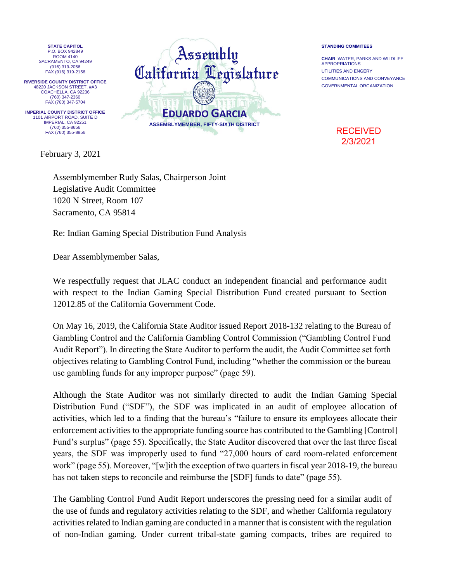**STATE CAPITOL** P.O. BOX 942849 ROOM 4140 SACRAMENTO, CA 94249 (916) 319-2056 FAX (916) 319-2156

**RIVERSIDE COUNTY DISTRICT OFFICE** 48220 JACKSON STREET, #A3 COACHELLA, CA 92236 (760) 347-2360 FAX (760) 347-5704

**IMPERIAL COUNTY DISTRICT OFFICE** 1101 AIRPORT ROAD, SUITE D IMPERIAL, CA 92251 (760) 355-8656 FAX (760) 355-8856

February 3, 2021



## **STANDING COMMITEES**

**CHAIR**: WATER, PARKS AND WILDLIFE APPROPRIATIONS UTILITIES AND ENGERY COMMUNICATIONS AND CONVEYANCE GOVERNMENTAL ORGANIZATION

> **RECEIVED** 2/3/2021

Assemblymember Rudy Salas, Chairperson Joint Legislative Audit Committee 1020 N Street, Room 107 Sacramento, CA 95814

Re: Indian Gaming Special Distribution Fund Analysis

Dear Assemblymember Salas,

We respectfully request that JLAC conduct an independent financial and performance audit with respect to the Indian Gaming Special Distribution Fund created pursuant to Section 12012.85 of the California Government Code.

On May 16, 2019, the California State Auditor issued Report 2018-132 relating to the Bureau of Gambling Control and the California Gambling Control Commission ("Gambling Control Fund Audit Report"). In directing the State Auditor to perform the audit, the Audit Committee set forth objectives relating to Gambling Control Fund, including "whether the commission or the bureau use gambling funds for any improper purpose" (page 59).

Although the State Auditor was not similarly directed to audit the Indian Gaming Special Distribution Fund ("SDF"), the SDF was implicated in an audit of employee allocation of activities, which led to a finding that the bureau's "failure to ensure its employees allocate their enforcement activities to the appropriate funding source has contributed to the Gambling [Control] Fund's surplus" (page 55). Specifically, the State Auditor discovered that over the last three fiscal years, the SDF was improperly used to fund "27,000 hours of card room-related enforcement work" (page 55). Moreover, "[w]ith the exception of two quarters in fiscal year 2018-19, the bureau has not taken steps to reconcile and reimburse the [SDF] funds to date" (page 55).

The Gambling Control Fund Audit Report underscores the pressing need for a similar audit of the use of funds and regulatory activities relating to the SDF, and whether California regulatory activities related to Indian gaming are conducted in a manner that is consistent with the regulation of non-Indian gaming. Under current tribal-state gaming compacts, tribes are required to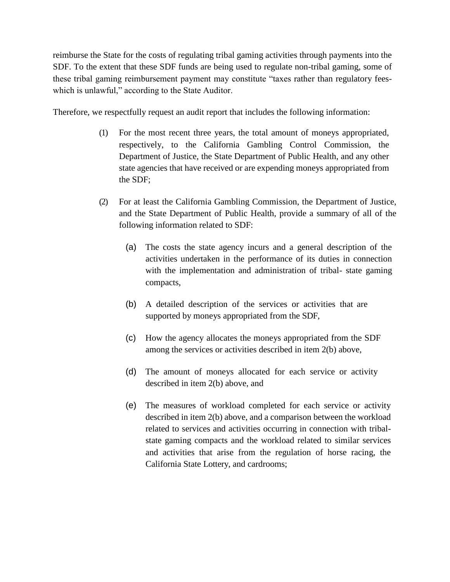reimburse the State for the costs of regulating tribal gaming activities through payments into the SDF. To the extent that these SDF funds are being used to regulate non-tribal gaming, some of these tribal gaming reimbursement payment may constitute "taxes rather than regulatory feeswhich is unlawful," according to the State Auditor.

Therefore, we respectfully request an audit report that includes the following information:

- (1) For the most recent three years, the total amount of moneys appropriated, respectively, to the California Gambling Control Commission, the Department of Justice, the State Department of Public Health, and any other state agencies that have received or are expending moneys appropriated from the SDF;
- (2) For at least the California Gambling Commission, the Department of Justice, and the State Department of Public Health, provide a summary of all of the following information related to SDF:
	- (a) The costs the state agency incurs and a general description of the activities undertaken in the performance of its duties in connection with the implementation and administration of tribal- state gaming compacts,
	- (b) A detailed description of the services or activities that are supported by moneys appropriated from the SDF,
	- (c) How the agency allocates the moneys appropriated from the SDF among the services or activities described in item 2(b) above,
	- (d) The amount of moneys allocated for each service or activity described in item 2(b) above, and
	- (e) The measures of workload completed for each service or activity described in item 2(b) above, and a comparison between the workload related to services and activities occurring in connection with tribalstate gaming compacts and the workload related to similar services and activities that arise from the regulation of horse racing, the California State Lottery, and cardrooms;